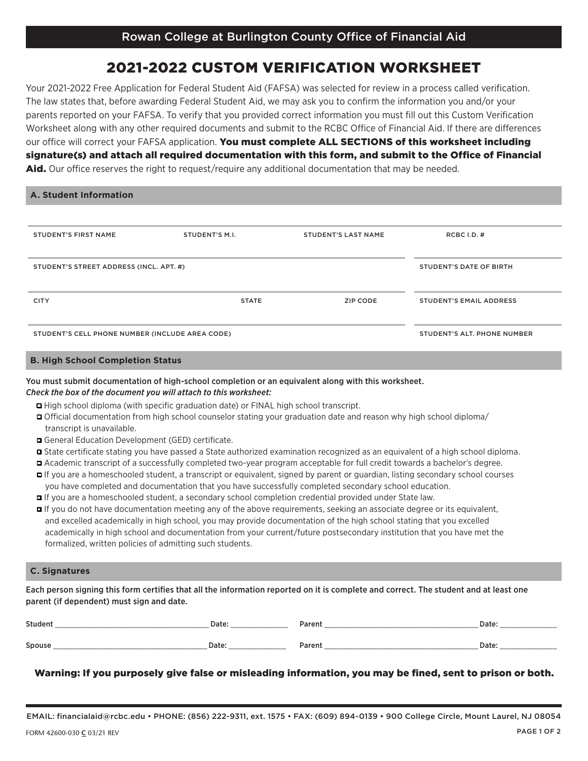## 2021-2022 CUSTOM VERIFICATION WORKSHEET

Your 2021-2022 Free Application for Federal Student Aid (FAFSA) was selected for review in a process called verification. The law states that, before awarding Federal Student Aid, we may ask you to confirm the information you and/or your parents reported on your FAFSA. To verify that you provided correct information you must fill out this Custom Verification Worksheet along with any other required documents and submit to the RCBC Office of Financial Aid. If there are differences our office will correct your FAFSA application. You must complete ALL SECTIONS of this worksheet including signature(s) and attach all required documentation with this form, and submit to the Office of Financial Aid. Our office reserves the right to request/require any additional documentation that may be needed.

| <b>A. Student Information</b> |  |
|-------------------------------|--|
|                               |  |

| <b>STUDENT'S FIRST NAME</b>                     | STUDENT'S M.I.          | <b>STUDENT'S LAST NAME</b> | RCBC I.D. $#$                  |
|-------------------------------------------------|-------------------------|----------------------------|--------------------------------|
| STUDENT'S STREET ADDRESS (INCL. APT. #)         | STUDENT'S DATE OF BIRTH |                            |                                |
| <b>CITY</b>                                     | <b>STATE</b>            | ZIP CODE                   | <b>STUDENT'S EMAIL ADDRESS</b> |
| STUDENT'S CELL PHONE NUMBER (INCLUDE AREA CODE) |                         |                            | STUDENT'S ALT. PHONE NUMBER    |

#### **B. High School Completion Status**

## You must submit documentation of high-school completion or an equivalent along with this worksheet. *Check the box of the document you will attach to this worksheet:*

- q High school diploma (with specific graduation date) or FINAL high school transcript.
- q Official documentation from high school counselor stating your graduation date and reason why high school diploma/ transcript is unavailable.
- q General Education Development (GED) certificate.
- q State certificate stating you have passed a State authorized examination recognized as an equivalent of a high school diploma.
- q Academic transcript of a successfully completed two-year program acceptable for full credit towards a bachelor's degree.
- q If you are a homeschooled student, a transcript or equivalent, signed by parent or guardian, listing secondary school courses you have completed and documentation that you have successfully completed secondary school education.
- q If you are a homeschooled student, a secondary school completion credential provided under State law.
- q If you do not have documentation meeting any of the above requirements, seeking an associate degree or its equivalent, and excelled academically in high school, you may provide documentation of the high school stating that you excelled academically in high school and documentation from your current/future postsecondary institution that you have met the formalized, written policies of admitting such students.

### **C. Signatures**

Each person signing this form certifies that all the information reported on it is complete and correct. The student and at least one parent (if dependent) must sign and date.

| <b>Student</b> | Date: | <b>Parent</b> | Date              |
|----------------|-------|---------------|-------------------|
|                |       |               |                   |
| Spous          | Dale  | Paren.        | Date <sup>®</sup> |
|                |       |               |                   |

## Warning: If you purposely give false or misleading information, you may be fined, sent to prison or both.

EMAIL: financialaid@rcbc.edu • PHONE: (856) 222-9311, ext. 1575 • FAX: (609) 894-0139 • 900 College Circle, Mount Laurel, NJ 08054